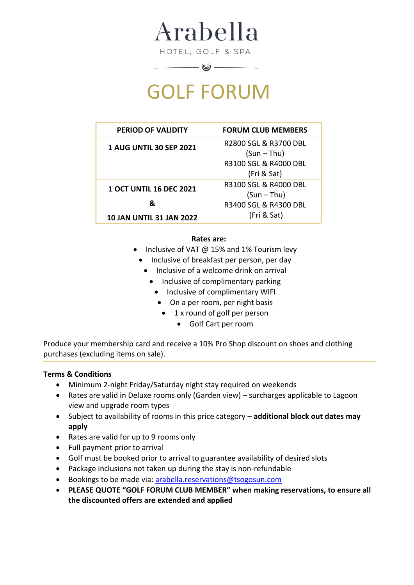Arabella

HOTEL, GOLF & SPA

# GOLF FORUM

 $\qquad \qquad \qquad \qquad \qquad \qquad \qquad$ 

| <b>PERIOD OF VALIDITY</b>       | <b>FORUM CLUB MEMBERS</b> |
|---------------------------------|---------------------------|
| <b>1 AUG UNTIL 30 SEP 2021</b>  | R2800 SGL & R3700 DBL     |
|                                 | $(Sun - Thu)$             |
|                                 | R3100 SGL & R4000 DBL     |
|                                 | (Fri & Sat)               |
| <b>1 OCT UNTIL 16 DEC 2021</b>  | R3100 SGL & R4000 DBL     |
|                                 | $(Sun - Thu)$             |
| &                               | R3400 SGL & R4300 DBL     |
| <b>10 JAN UNTIL 31 JAN 2022</b> | (Fri & Sat)               |

### **Rates are:**

- Inclusive of VAT @ 15% and 1% Tourism levy
	- Inclusive of breakfast per person, per day
		- Inclusive of a welcome drink on arrival
			- Inclusive of complimentary parking
				- Inclusive of complimentary WIFI
				- On a per room, per night basis
				- 1 x round of golf per person
					- Golf Cart per room

Produce your membership card and receive a 10% Pro Shop discount on shoes and clothing purchases (excluding items on sale).

# **Terms & Conditions**

- Minimum 2-night Friday/Saturday night stay required on weekends
- Rates are valid in Deluxe rooms only (Garden view) surcharges applicable to Lagoon view and upgrade room types
- Subject to availability of rooms in this price category **additional block out dates may apply**
- Rates are valid for up to 9 rooms only
- Full payment prior to arrival
- Golf must be booked prior to arrival to guarantee availability of desired slots
- Package inclusions not taken up during the stay is non-refundable
- Bookings to be made via: [arabella.reservations@tsogosun.com](mailto:arabella.reservations@tsogosun.com)
- **PLEASE QUOTE "GOLF FORUM CLUB MEMBER" when making reservations, to ensure all the discounted offers are extended and applied**